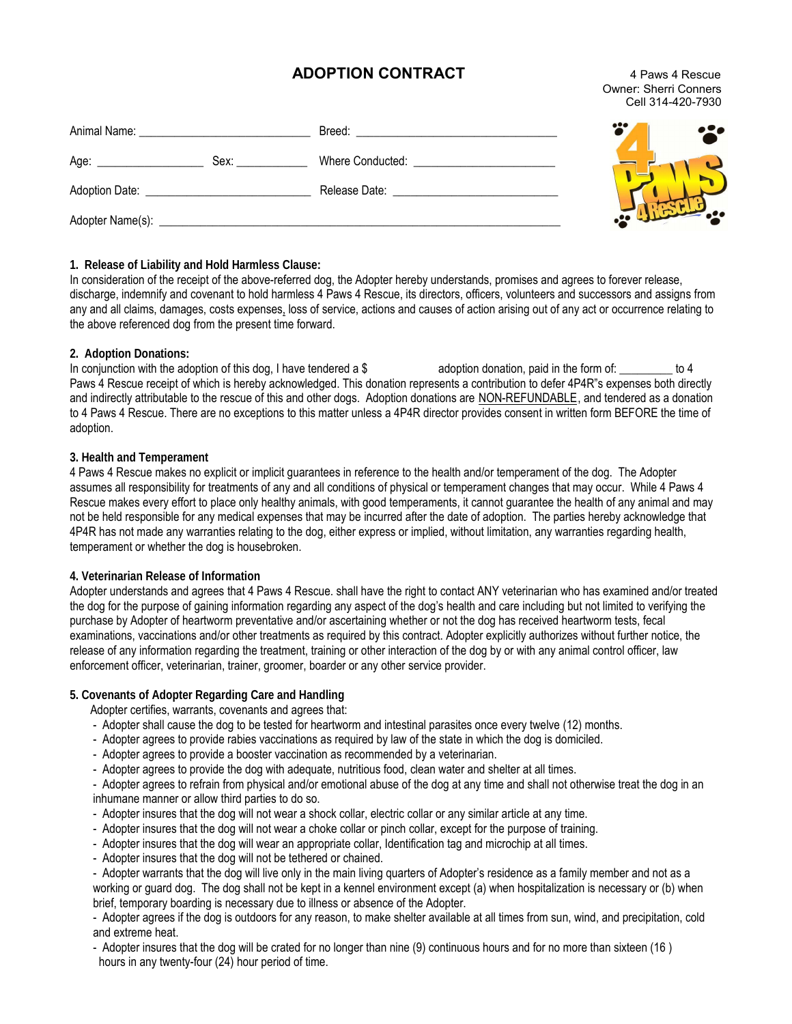# **ADOPTION CONTRACT** 4 Paws 4 Rescue

Owner: Sherri Conners Cell 314-420-7930

| Animal Name:     |      | Breed:           | $\bullet\bullet\bullet$ |
|------------------|------|------------------|-------------------------|
| Age:             | Sex: | Where Conducted: |                         |
| Adoption Date:   |      | Release Date:    |                         |
| Adopter Name(s): |      |                  |                         |

### **1. Release of Liability and Hold Harmless Clause:**

In consideration of the receipt of the above-referred dog, the Adopter hereby understands, promises and agrees to forever release, discharge, indemnify and covenant to hold harmless 4 Paws 4 Rescue, its directors, officers, volunteers and successors and assigns from any and all claims, damages, costs expenses, loss of service, actions and causes of action arising out of any act or occurrence relating to the above referenced dog from the present time forward.

### **2. Adoption Donations:**

In conjunction with the adoption of this dog, I have tendered a \$ adoption donation, paid in the form of: \_\_\_\_\_\_\_\_ to 4 Paws 4 Rescue receipt of which is hereby acknowledged. This donation represents a contribution to defer 4P4R"s expenses both directly and indirectly attributable to the rescue of this and other dogs. Adoption donations are NON-REFUNDABLE, and tendered as a donation to 4 Paws 4 Rescue. There are no exceptions to this matter unless a 4P4R director provides consent in written form BEFORE the time of adoption.

#### **3. Health and Temperament**

4 Paws 4 Rescue makes no explicit or implicit guarantees in reference to the health and/or temperament of the dog. The Adopter assumes all responsibility for treatments of any and all conditions of physical or temperament changes that may occur. While 4 Paws 4 Rescue makes every effort to place only healthy animals, with good temperaments, it cannot guarantee the health of any animal and may not be held responsible for any medical expenses that may be incurred after the date of adoption. The parties hereby acknowledge that 4P4R has not made any warranties relating to the dog, either express or implied, without limitation, any warranties regarding health, temperament or whether the dog is housebroken.

#### **4. Veterinarian Release of Information**

Adopter understands and agrees that 4 Paws 4 Rescue. shall have the right to contact ANY veterinarian who has examined and/or treated the dog for the purpose of gaining information regarding any aspect of the dog's health and care including but not limited to verifying the purchase by Adopter of heartworm preventative and/or ascertaining whether or not the dog has received heartworm tests, fecal examinations, vaccinations and/or other treatments as required by this contract. Adopter explicitly authorizes without further notice, the release of any information regarding the treatment, training or other interaction of the dog by or with any animal control officer, law enforcement officer, veterinarian, trainer, groomer, boarder or any other service provider.

### **5. Covenants of Adopter Regarding Care and Handling**

Adopter certifies, warrants, covenants and agrees that:

- Adopter shall cause the dog to be tested for heartworm and intestinal parasites once every twelve (12) months.
- Adopter agrees to provide rabies vaccinations as required by law of the state in which the dog is domiciled.
- Adopter agrees to provide a booster vaccination as recommended by a veterinarian.
- Adopter agrees to provide the dog with adequate, nutritious food, clean water and shelter at all times.

- Adopter agrees to refrain from physical and/or emotional abuse of the dog at any time and shall not otherwise treat the dog in an inhumane manner or allow third parties to do so.

- Adopter insures that the dog will not wear a shock collar, electric collar or any similar article at any time.
- Adopter insures that the dog will not wear a choke collar or pinch collar, except for the purpose of training.
- Adopter insures that the dog will wear an appropriate collar, Identification tag and microchip at all times.
- Adopter insures that the dog will not be tethered or chained.

- Adopter warrants that the dog will live only in the main living quarters of Adopter's residence as a family member and not as a working or guard dog. The dog shall not be kept in a kennel environment except (a) when hospitalization is necessary or (b) when brief, temporary boarding is necessary due to illness or absence of the Adopter.

- Adopter agrees if the dog is outdoors for any reason, to make shelter available at all times from sun, wind, and precipitation, cold and extreme heat.

- Adopter insures that the dog will be crated for no longer than nine (9) continuous hours and for no more than sixteen (16 ) hours in any twenty-four (24) hour period of time.